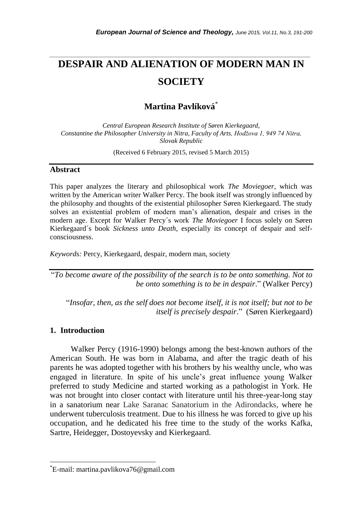# **DESPAIR AND ALIENATION OF MODERN MAN IN SOCIETY**

*\_\_\_\_\_\_\_\_\_\_\_\_\_\_\_\_\_\_\_\_\_\_\_\_\_\_\_\_\_\_\_\_\_\_\_\_\_\_\_\_\_\_\_\_\_\_\_\_\_\_\_\_\_\_\_\_\_\_\_\_\_\_\_\_\_\_\_\_\_\_\_*

# **Martina Pavlíková**\*

*Central European Research Institute of Søren Kierkegaard, Constantine the Philosopher University in Nitra, Faculty of Arts, Hodžova 1, 949 74 Nitra, Slovak Republic*

(Received 6 February 2015, revised 5 March 2015)

#### **Abstract**

This paper analyzes the literary and philosophical work *The Moviegoer*, which was written by the American writer Walker Percy. The book itself was strongly influenced by the philosophy and thoughts of the existential philosopher S*ø*ren Kierkegaard. The study solves an existential problem of modern man"s alienation, despair and crises in the modern age. Except for Walker Percy´s work *The Moviegoer* I focus solely on S*ø*ren Kierkegaard´s book *Sickness unto Death*, especially its concept of despair and selfconsciousness.

*Keywords:* Percy, Kierkegaard, despair, modern man, society

"*To become aware of the possibility of the search is to be onto something. Not to be onto something is to be in despair*." (Walker Percy)

"*Insofar, then, as the self does not become itself, it is not itself; but not to be itself is precisely despair.*" (S*ø*ren Kierkegaard)

## **1. Introduction**

l

Walker Percy (1916-1990) belongs among the best-known authors of the American South. He was born in Alabama, and after the tragic death of his parents he was adopted together with his brothers by his wealthy uncle, who was engaged in literature. In spite of his uncle"s great influence young Walker preferred to study Medicine and started working as a pathologist in York. He was not brought into closer contact with literature until his three-year-long stay in a sanatorium near Lake Saranac Sanatorium in the Adirondacks, where he underwent tuberculosis treatment. Due to his illness he was forced to give up his occupation, and he dedicated his free time to the study of the works Kafka, Sartre, Heidegger, Dostoyevsky and Kierkegaard.

<sup>\*</sup>E-mail: martina.pavlikova76@gmail.com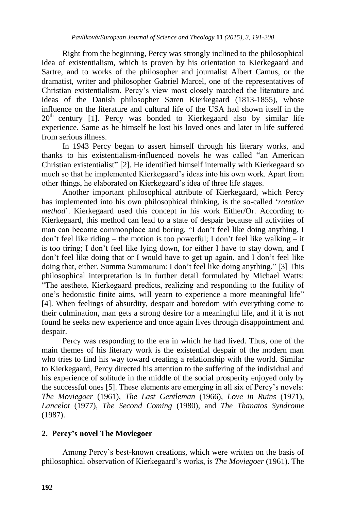Right from the beginning, Percy was strongly inclined to the philosophical idea of existentialism, which is proven by his orientation to Kierkegaard and Sartre, and to works of the philosopher and journalist Albert Camus, or the dramatist, writer and philosopher Gabriel Marcel, one of the representatives of Christian existentialism. Percy"s view most closely matched the literature and ideas of the Danish philosopher Søren Kierkegaard (1813-1855), whose influence on the literature and cultural life of the USA had shown itself in the  $20<sup>th</sup>$  century [1]. Percy was bonded to Kierkegaard also by similar life experience. Same as he himself he lost his loved ones and later in life suffered from serious illness.

In 1943 Percy began to assert himself through his literary works, and thanks to his existentialism-influenced novels he was called "an American Christian existentialist" [2]. He identified himself internally with Kierkegaard so much so that he implemented Kierkegaard"s ideas into his own work. Apart from other things, he elaborated on Kierkegaard"s idea of three life stages.

Another important philosophical attribute of Kierkegaard, which Percy has implemented into his own philosophical thinking, is the so-called "*rotation method*". Kierkegaard used this concept in his work Either/Or. According to Kierkegaard, this method can lead to a state of despair because all activities of man can become commonplace and boring. "I don"t feel like doing anything. I don't feel like riding – the motion is too powerful; I don't feel like walking – it is too tiring; I don"t feel like lying down, for either I have to stay down, and I don"t feel like doing that or I would have to get up again, and I don"t feel like doing that, either. Summa Summarum: I don"t feel like doing anything." [3] This philosophical interpretation is in further detail formulated by Michael Watts: "The aesthete, Kierkegaard predicts, realizing and responding to the futility of one"s hedonistic finite aims, will yearn to experience a more meaningful life" [4]. When feelings of absurdity, despair and boredom with everything come to their culmination, man gets a strong desire for a meaningful life, and if it is not found he seeks new experience and once again lives through disappointment and despair.

Percy was responding to the era in which he had lived. Thus, one of the main themes of his literary work is the existential despair of the modern man who tries to find his way toward creating a relationship with the world. Similar to Kierkegaard, Percy directed his attention to the suffering of the individual and his experience of solitude in the middle of the social prosperity enjoyed only by the successful ones [5]. These elements are emerging in all six of Percy"s novels: *The Moviegoer* (1961), *The Last Gentleman* (1966), *Love in Ruins* (1971), *Lancelot* (1977), *The Second Coming* (1980), and *The Thanatos Syndrome* (1987).

# **2. Percy's novel The Moviegoer**

Among Percy"s best-known creations, which were written on the basis of philosophical observation of Kierkegaard"s works, is *The Moviegoer* (1961). The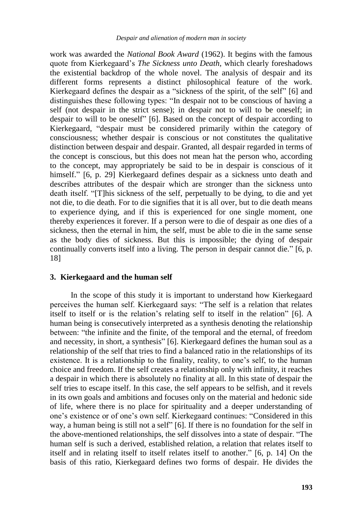work was awarded the *National Book Award* (1962). It begins with the famous quote from Kierkegaard"s *The Sickness unto Death*, which clearly foreshadows the existential backdrop of the whole novel. The analysis of despair and its different forms represents a distinct philosophical feature of the work. Kierkegaard defines the despair as a "sickness of the spirit, of the self" [6] and distinguishes these following types: "In despair not to be conscious of having a self (not despair in the strict sense); in despair not to will to be oneself; in despair to will to be oneself" [6]. Based on the concept of despair according to Kierkegaard, "despair must be considered primarily within the category of consciousness; whether despair is conscious or not constitutes the qualitative distinction between despair and despair. Granted, all despair regarded in terms of the concept is conscious, but this does not mean hat the person who, according to the concept, may appropriately be said to be in despair is conscious of it himself." [6, p. 29] Kierkegaard defines despair as a sickness unto death and describes attributes of the despair which are stronger than the sickness unto death itself. "[T]his sickness of the self, perpetually to be dying, to die and yet not die, to die death. For to die signifies that it is all over, but to die death means to experience dying, and if this is experienced for one single moment, one thereby experiences it forever. If a person were to die of despair as one dies of a sickness, then the eternal in him, the self, must be able to die in the same sense as the body dies of sickness. But this is impossible; the dying of despair continually converts itself into a living. The person in despair cannot die." [6, p. 18]

#### **3. Kierkegaard and the human self**

In the scope of this study it is important to understand how Kierkegaard perceives the human self. Kierkegaard says: "The self is a relation that relates itself to itself or is the relation"s relating self to itself in the relation" [6]. A human being is consecutively interpreted as a synthesis denoting the relationship between: "the infinite and the finite, of the temporal and the eternal, of freedom and necessity, in short, a synthesis" [6]. Kierkegaard defines the human soul as a relationship of the self that tries to find a balanced ratio in the relationships of its existence. It is a relationship to the finality, reality, to one"s self, to the human choice and freedom. If the self creates a relationship only with infinity, it reaches a despair in which there is absolutely no finality at all. In this state of despair the self tries to escape itself. In this case, the self appears to be selfish, and it revels in its own goals and ambitions and focuses only on the material and hedonic side of life, where there is no place for spirituality and a deeper understanding of one"s existence or of one"s own self. Kierkegaard continues: "Considered in this way, a human being is still not a self" [6]. If there is no foundation for the self in the above-mentioned relationships, the self dissolves into a state of despair. "The human self is such a derived, established relation, a relation that relates itself to itself and in relating itself to itself relates itself to another." [6, p. 14] On the basis of this ratio, Kierkegaard defines two forms of despair. He divides the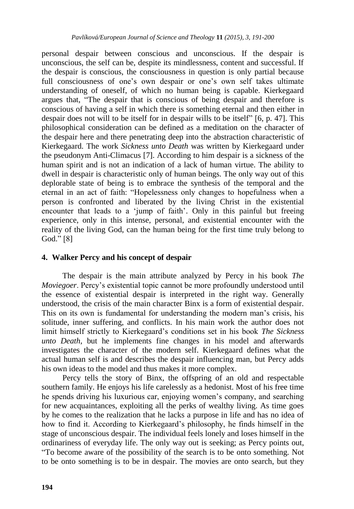personal despair between conscious and unconscious. If the despair is unconscious, the self can be, despite its mindlessness, content and successful. If the despair is conscious, the consciousness in question is only partial because full consciousness of one's own despair or one's own self takes ultimate understanding of oneself, of which no human being is capable. Kierkegaard argues that, "The despair that is conscious of being despair and therefore is conscious of having a self in which there is something eternal and then either in despair does not will to be itself for in despair wills to be itself" [6, p. 47]. This philosophical consideration can be defined as a meditation on the character of the despair here and there penetrating deep into the abstraction characteristic of Kierkegaard. The work *Sickness unto Death* was written by Kierkegaard under the pseudonym Anti-Climacus [7]. According to him despair is a sickness of the human spirit and is not an indication of a lack of human virtue. The ability to dwell in despair is characteristic only of human beings. The only way out of this deplorable state of being is to embrace the synthesis of the temporal and the eternal in an act of faith: "Hopelessness only changes to hopefulness when a person is confronted and liberated by the living Christ in the existential encounter that leads to a 'jump of faith'. Only in this painful but freeing experience, only in this intense, personal, and existential encounter with the reality of the living God, can the human being for the first time truly belong to God." [8]

## **4. Walker Percy and his concept of despair**

The despair is the main attribute analyzed by Percy in his book *The Moviegoer*. Percy"s existential topic cannot be more profoundly understood until the essence of existential despair is interpreted in the right way. Generally understood, the crisis of the main character Binx is a form of existential despair. This on its own is fundamental for understanding the modern man"s crisis, his solitude, inner suffering, and conflicts. In his main work the author does not limit himself strictly to Kierkegaard"s conditions set in his book *The Sickness unto Death*, but he implements fine changes in his model and afterwards investigates the character of the modern self. Kierkegaard defines what the actual human self is and describes the despair influencing man, but Percy adds his own ideas to the model and thus makes it more complex.

Percy tells the story of Binx, the offspring of an old and respectable southern family. He enjoys his life carelessly as a hedonist. Most of his free time he spends driving his luxurious car, enjoying women"s company, and searching for new acquaintances, exploiting all the perks of wealthy living. As time goes by he comes to the realization that he lacks a purpose in life and has no idea of how to find it. According to Kierkegaard"s philosophy, he finds himself in the stage of unconscious despair. The individual feels lonely and loses himself in the ordinariness of everyday life. The only way out is seeking; as Percy points out, "To become aware of the possibility of the search is to be onto something. Not to be onto something is to be in despair. The movies are onto search, but they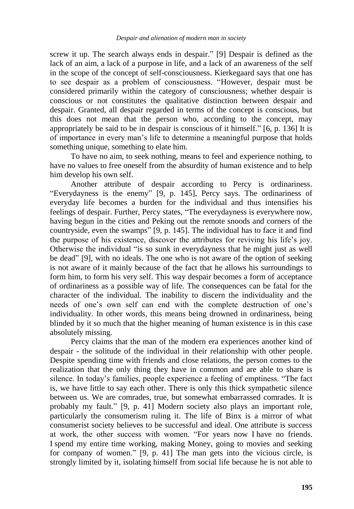screw it up. The search always ends in despair." [9] Despair is defined as the lack of an aim, a lack of a purpose in life, and a lack of an awareness of the self in the scope of the concept of self-consciousness. Kierkegaard says that one has to see despair as a problem of consciousness. "However, despair must be considered primarily within the category of consciousness; whether despair is conscious or not constitutes the qualitative distinction between despair and despair. Granted, all despair regarded in terms of the concept is conscious, but this does not mean that the person who, according to the concept, may appropriately be said to be in despair is conscious of it himself." [6, p. 136] It is of importance in every man"s life to determine a meaningful purpose that holds something unique, something to elate him.

To have no aim, to seek nothing, means to feel and experience nothing, to have no values to free oneself from the absurdity of human existence and to help him develop his own self.

Another attribute of despair according to Percy is ordinariness. "Everydayness is the enemy" [9, p. 145], Percy says. The ordinariness of everyday life becomes a burden for the individual and thus intensifies his feelings of despair. Further, Percy states, "The everydayness is everywhere now, having begun in the cities and Peking out the remote snoods and corners of the countryside, even the swamps" [9, p. 145]. The individual has to face it and find the purpose of his existence, discover the attributes for reviving his life"s joy. Otherwise the individual "is so sunk in everydayness that he might just as well be dead" [9], with no ideals. The one who is not aware of the option of seeking is not aware of it mainly because of the fact that he allows his surroundings to form him, to form his very self. This way despair becomes a form of acceptance of ordinariness as a possible way of life. The consequences can be fatal for the character of the individual. The inability to discern the individuality and the needs of one"s own self can end with the complete destruction of one"s individuality. In other words, this means being drowned in ordinariness, being blinded by it so much that the higher meaning of human existence is in this case absolutely missing.

Percy claims that the man of the modern era experiences another kind of despair - the solitude of the individual in their relationship with other people. Despite spending time with friends and close relations, the person comes to the realization that the only thing they have in common and are able to share is silence. In today"s families, people experience a feeling of emptiness. "The fact is, we have little to say each other. There is only this thick sympathetic silence between us. We are comrades, true, but somewhat embarrassed comrades. It is probably my fault." [9, p. 41] Modern society also plays an important role, particularly the consumerism ruling it. The life of Binx is a mirror of what consumerist society believes to be successful and ideal. One attribute is success at work, the other success with women. "For years now I have no friends. I spend my entire time working, making Money, going to movies and seeking for company of women." [9, p. 41] The man gets into the vicious circle, is strongly limited by it, isolating himself from social life because he is not able to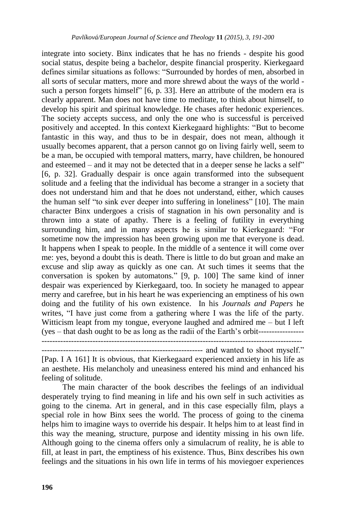integrate into society. Binx indicates that he has no friends - despite his good social status, despite being a bachelor, despite financial prosperity. Kierkegaard defines similar situations as follows: "Surrounded by hordes of men, absorbed in all sorts of secular matters, more and more shrewd about the ways of the world such a person forgets himself" [6, p. 33]. Here an attribute of the modern era is clearly apparent. Man does not have time to meditate, to think about himself, to develop his spirit and spiritual knowledge. He chases after hedonic experiences. The society accepts success, and only the one who is successful is perceived positively and accepted. In this context Kierkegaard highlights: "But to become fantastic in this way, and thus to be in despair, does not mean, although it usually becomes apparent, that a person cannot go on living fairly well, seem to be a man, be occupied with temporal matters, marry, have children, be honoured and esteemed – and it may not be detected that in a deeper sense he lacks a self" [6, p. 32]. Gradually despair is once again transformed into the subsequent solitude and a feeling that the individual has become a stranger in a society that does not understand him and that he does not understand, either, which causes the human self "to sink ever deeper into suffering in loneliness" [10]. The main character Binx undergoes a crisis of stagnation in his own personality and is thrown into a state of apathy. There is a feeling of futility in everything surrounding him, and in many aspects he is similar to Kierkegaard: "For sometime now the impression has been growing upon me that everyone is dead. It happens when I speak to people. In the middle of a sentence it will come over me: yes, beyond a doubt this is death. There is little to do but groan and make an excuse and slip away as quickly as one can. At such times it seems that the conversation is spoken by automatons." [9, p. 100] The same kind of inner despair was experienced by Kierkegaard, too. In society he managed to appear merry and carefree, but in his heart he was experiencing an emptiness of his own doing and the futility of his own existence. In his *Journals and Papers* he writes, "I have just come from a gathering where I was the life of the party. Witticism leapt from my tongue, everyone laughed and admired me – but I left (yes – that dash ought to be as long as the radii of the Earth"s orbit-----------------

------------------------------------------------------------------------------------------------- ------------------------------------------------------------ and wanted to shoot myself."

[Pap. I A 161] It is obvious, that Kierkegaard experienced anxiety in his life as an aesthete. His melancholy and uneasiness entered his mind and enhanced his feeling of solitude.

The main character of the book describes the feelings of an individual desperately trying to find meaning in life and his own self in such activities as going to the cinema. Art in general, and in this case especially film, plays a special role in how Binx sees the world. The process of going to the cinema helps him to imagine ways to override his despair. It helps him to at least find in this way the meaning, structure, purpose and identity missing in his own life. Although going to the cinema offers only a simulacrum of reality, he is able to fill, at least in part, the emptiness of his existence. Thus, Binx describes his own feelings and the situations in his own life in terms of his moviegoer experiences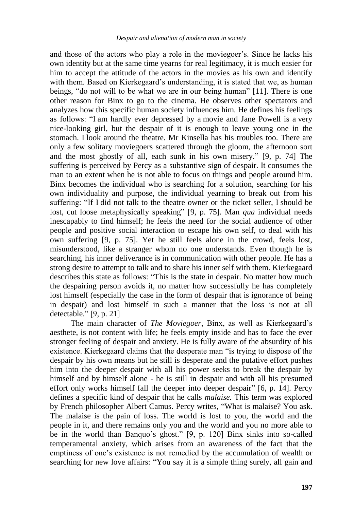and those of the actors who play a role in the moviegoer"s. Since he lacks his own identity but at the same time yearns for real legitimacy, it is much easier for him to accept the attitude of the actors in the movies as his own and identify with them. Based on Kierkegaard's understanding, it is stated that we, as human beings, "do not will to be what we are in our being human" [11]. There is one other reason for Binx to go to the cinema. He observes other spectators and analyzes how this specific human society influences him. He defines his feelings as follows: "I am hardly ever depressed by a movie and Jane Powell is a very nice-looking girl, but the despair of it is enough to leave young one in the stomach. I look around the theatre. Mr Kinsella has his troubles too. There are only a few solitary moviegoers scattered through the gloom, the afternoon sort and the most ghostly of all, each sunk in his own misery." [9, p. 74] The suffering is perceived by Percy as a substantive sign of despair. It consumes the man to an extent when he is not able to focus on things and people around him. Binx becomes the individual who is searching for a solution, searching for his own individuality and purpose, the individual yearning to break out from his suffering: "If I did not talk to the theatre owner or the ticket seller, I should be lost, cut loose metaphysically speaking" [9, p. 75]. Man *qua* individual needs inescapably to find himself; he feels the need for the social audience of other people and positive social interaction to escape his own self, to deal with his own suffering [9, p. 75]. Yet he still feels alone in the crowd, feels lost, misunderstood, like a stranger whom no one understands. Even though he is searching, his inner deliverance is in communication with other people. He has a strong desire to attempt to talk and to share his inner self with them. Kierkegaard describes this state as follows: "This is the state in despair. No matter how much the despairing person avoids it, no matter how successfully he has completely lost himself (especially the case in the form of despair that is ignorance of being in despair) and lost himself in such a manner that the loss is not at all detectable." [9, p. 21]

The main character of *The Moviegoer*, Binx, as well as Kierkegaard"s aesthete, is not content with life; he feels empty inside and has to face the ever stronger feeling of despair and anxiety. He is fully aware of the absurdity of his existence. Kierkegaard claims that the desperate man "is trying to dispose of the despair by his own means but he still is desperate and the putative effort pushes him into the deeper despair with all his power seeks to break the despair by himself and by himself alone - he is still in despair and with all his presumed effort only works himself fall the deeper into deeper despair" [6, p. 14]. Percy defines a specific kind of despair that he calls *malaise.* This term was explored by French philosopher Albert Camus. Percy writes, "What is malaise? You ask. The malaise is the pain of loss. The world is lost to you, the world and the people in it, and there remains only you and the world and you no more able to be in the world than Banquo's ghost." [9, p. 120] Binx sinks into so-called temperamental anxiety, which arises from an awareness of the fact that the emptiness of one's existence is not remedied by the accumulation of wealth or searching for new love affairs: "You say it is a simple thing surely, all gain and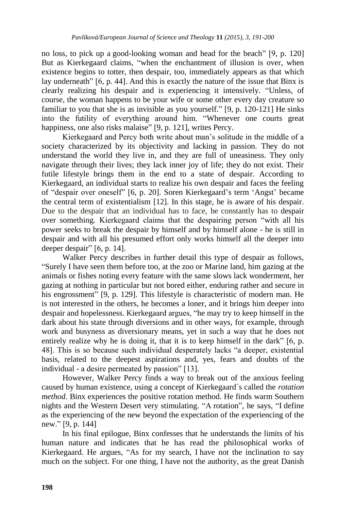no loss, to pick up a good-looking woman and head for the beach" [9, p. 120] But as Kierkegaard claims, "when the enchantment of illusion is over, when existence begins to totter, then despair, too, immediately appears as that which lay underneath" [6, p. 44]. And this is exactly the nature of the issue that Binx is clearly realizing his despair and is experiencing it intensively. "Unless, of course, the woman happens to be your wife or some other every day creature so familiar to you that she is as invisible as you yourself." [9, p. 120-121] He sinks into the futility of everything around him. "Whenever one courts great happiness, one also risks malaise" [9, p. 121], writes Percy.

Kierkegaard and Percy both write about man"s solitude in the middle of a society characterized by its objectivity and lacking in passion. They do not understand the world they live in, and they are full of uneasiness. They only navigate through their lives; they lack inner joy of life; they do not exist. Their futile lifestyle brings them in the end to a state of despair. According to Kierkegaard, an individual starts to realize his own despair and faces the feeling of "despair over oneself" [6, p. 20]. Soren Kierkegaard"s term "Angst" became the central term of existentialism [12]. In this stage, he is aware of his despair. Due to the despair that an individual has to face, he constantly has to despair over something. Kierkegaard claims that the despairing person "with all his power seeks to break the despair by himself and by himself alone - he is still in despair and with all his presumed effort only works himself all the deeper into deeper despair" [6, p. 14].

Walker Percy describes in further detail this type of despair as follows, "Surely I have seen them before too, at the zoo or Marine land, him gazing at the animals or fishes noting every feature with the same slows lack wonderment, her gazing at nothing in particular but not bored either, enduring rather and secure in his engrossment" [9, p. 129]. This lifestyle is characteristic of modern man. He is not interested in the others, he becomes a loner, and it brings him deeper into despair and hopelessness. Kierkegaard argues, "he may try to keep himself in the dark about his state through diversions and in other ways, for example, through work and busyness as diversionary means, yet in such a way that he does not entirely realize why he is doing it, that it is to keep himself in the dark" [6, p. 48]. This is so because such individual desperately lacks "a deeper, existential basis, related to the deepest aspirations and, yes, fears and doubts of the individual - a desire permeated by passion" [13].

However, Walker Percy finds a way to break out of the anxious feeling caused by human existence, using a concept of Kierkegaard´s called the *rotation method*. Binx experiences the positive rotation method. He finds warm Southern nights and the Western Desert very stimulating. "A rotation", he says, "I define as the experiencing of the new beyond the expectation of the experiencing of the new." [9, p. 144]

In his final epilogue, Binx confesses that he understands the limits of his human nature and indicates that he has read the philosophical works of Kierkegaard. He argues, "As for my search, I have not the inclination to say much on the subject. For one thing, I have not the authority, as the great Danish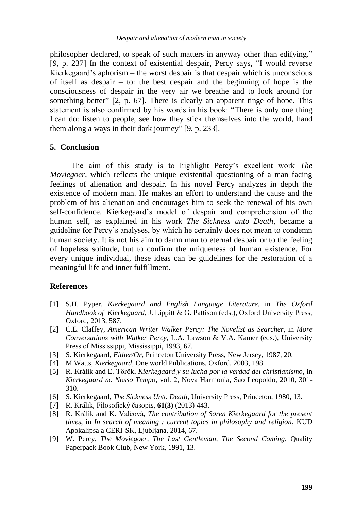philosopher declared, to speak of such matters in anyway other than edifying." [9, p. 237] In the context of existential despair, Percy says, "I would reverse Kierkegaard's aphorism – the worst despair is that despair which is unconscious of itself as despair – to: the best despair and the beginning of hope is the consciousness of despair in the very air we breathe and to look around for something better" [2, p. 67]. There is clearly an apparent tinge of hope. This statement is also confirmed by his words in his book: "There is only one thing I can do: listen to people, see how they stick themselves into the world, hand them along a ways in their dark journey" [9, p. 233].

#### **5. Conclusion**

The aim of this study is to highlight Percy"s excellent work *The Moviegoer*, which reflects the unique existential questioning of a man facing feelings of alienation and despair. In his novel Percy analyzes in depth the existence of modern man. He makes an effort to understand the cause and the problem of his alienation and encourages him to seek the renewal of his own self-confidence. Kierkegaard"s model of despair and comprehension of the human self, as explained in his work *The Sickness unto Death*, became a guideline for Percy"s analyses, by which he certainly does not mean to condemn human society. It is not his aim to damn man to eternal despair or to the feeling of hopeless solitude, but to confirm the uniqueness of human existence. For every unique individual, these ideas can be guidelines for the restoration of a meaningful life and inner fulfillment.

#### **References**

- [1] S.H. Pyper, *Kierkegaard and English Language Literature*, in *The Oxford Handbook of Kierkegaard*, J. Lippitt & G. Pattison (eds.), Oxford University Press, Oxford, 2013, 587.
- [2] C.E. Claffey, *American Writer Walker Percy: The Novelist as Searcher,* in *More Conversations with Walker Percy*, L.A. Lawson & V.A. Kamer (eds.), University Press of Mississippi, Mississippi, 1993, 67.
- [3] S. Kierkegaard, *Either/Or,* Princeton University Press, New Jersey, 1987, 20.
- [4] M.Watts, *Kierkegaard*, One world Publications, Oxford, 2003, 198.
- [5] R. Králik and Ľ. Török, *Kierkegaard y su lucha por la verdad del christianismo*, in *Kierkegaard no Nosso Tempo*, vol. 2, Nova Harmonia, Sao Leopoldo, 2010, 301- 310.
- [6] S. Kierkegaard, *The Sickness Unto Death,* University Press, Princeton, 1980, 13.
- [7] R. Králik, Filosofický časopis, **61(3)** (2013) 443.
- [8] R. Králik and K. Valčová, *The contribution of Søren Kierkegaard for the present times*, in *In search of meaning : current topics in philosophy and religion*, KUD Apokalipsa a CERI-SK, Ljubljana, 2014, 67.
- [9] W. Percy, *The Moviegoer, The Last Gentleman, The Second Coming*, Quality Paperpack Book Club, New York, 1991, 13.